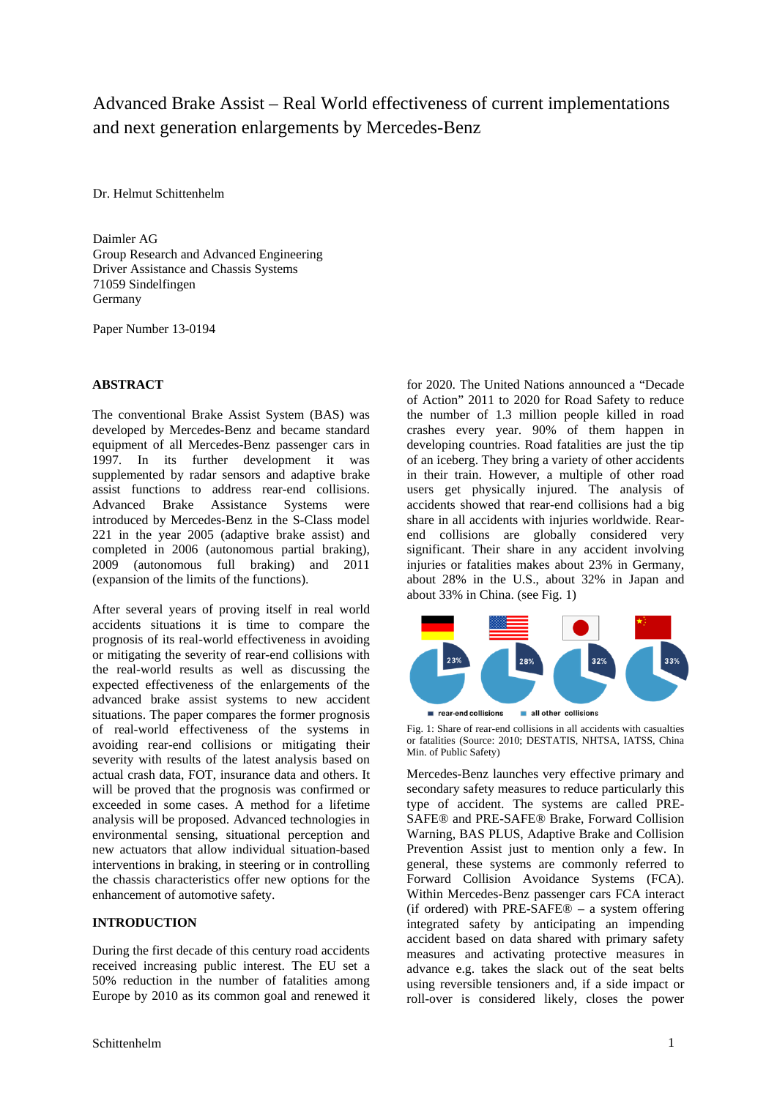# Advanced Brake Assist – Real World effectiveness of current implementations and next generation enlargements by Mercedes-Benz

Dr. Helmut Schittenhelm

Daimler AG Group Research and Advanced Engineering Driver Assistance and Chassis Systems 71059 Sindelfingen Germany

Paper Number 13-0194

## **ABSTRACT**

The conventional Brake Assist System (BAS) was developed by Mercedes-Benz and became standard equipment of all Mercedes-Benz passenger cars in 1997. In its further development it was supplemented by radar sensors and adaptive brake assist functions to address rear-end collisions. Advanced Brake Assistance Systems were introduced by Mercedes-Benz in the S-Class model 221 in the year 2005 (adaptive brake assist) and completed in 2006 (autonomous partial braking), 2009 (autonomous full braking) and 2011 (expansion of the limits of the functions).

After several years of proving itself in real world accidents situations it is time to compare the prognosis of its real-world effectiveness in avoiding or mitigating the severity of rear-end collisions with the real-world results as well as discussing the expected effectiveness of the enlargements of the advanced brake assist systems to new accident situations. The paper compares the former prognosis of real-world effectiveness of the systems in avoiding rear-end collisions or mitigating their severity with results of the latest analysis based on actual crash data, FOT, insurance data and others. It will be proved that the prognosis was confirmed or exceeded in some cases. A method for a lifetime analysis will be proposed. Advanced technologies in environmental sensing, situational perception and new actuators that allow individual situation-based interventions in braking, in steering or in controlling the chassis characteristics offer new options for the enhancement of automotive safety.

# **INTRODUCTION**

During the first decade of this century road accidents received increasing public interest. The EU set a 50% reduction in the number of fatalities among Europe by 2010 as its common goal and renewed it for 2020. The United Nations announced a "Decade of Action" 2011 to 2020 for Road Safety to reduce the number of 1.3 million people killed in road crashes every year. 90% of them happen in developing countries. Road fatalities are just the tip of an iceberg. They bring a variety of other accidents in their train. However, a multiple of other road users get physically injured. The analysis of accidents showed that rear-end collisions had a big share in all accidents with injuries worldwide. Rearend collisions are globally considered very significant. Their share in any accident involving injuries or fatalities makes about 23% in Germany, about 28% in the U.S., about 32% in Japan and about 33% in China. (see Fig. 1)



Fig. 1: Share of rear-end collisions in all accidents with casualties or fatalities (Source: 2010; DESTATIS, NHTSA, IATSS, China Min. of Public Safety)

Mercedes-Benz launches very effective primary and secondary safety measures to reduce particularly this type of accident. The systems are called PRE-SAFE® and PRE-SAFE® Brake, Forward Collision Warning, BAS PLUS, Adaptive Brake and Collision Prevention Assist just to mention only a few. In general, these systems are commonly referred to Forward Collision Avoidance Systems (FCA). Within Mercedes-Benz passenger cars FCA interact (if ordered) with PRE-SAFE $\overline{\circ}$  – a system offering integrated safety by anticipating an impending accident based on data shared with primary safety measures and activating protective measures in advance e.g. takes the slack out of the seat belts using reversible tensioners and, if a side impact or roll-over is considered likely, closes the power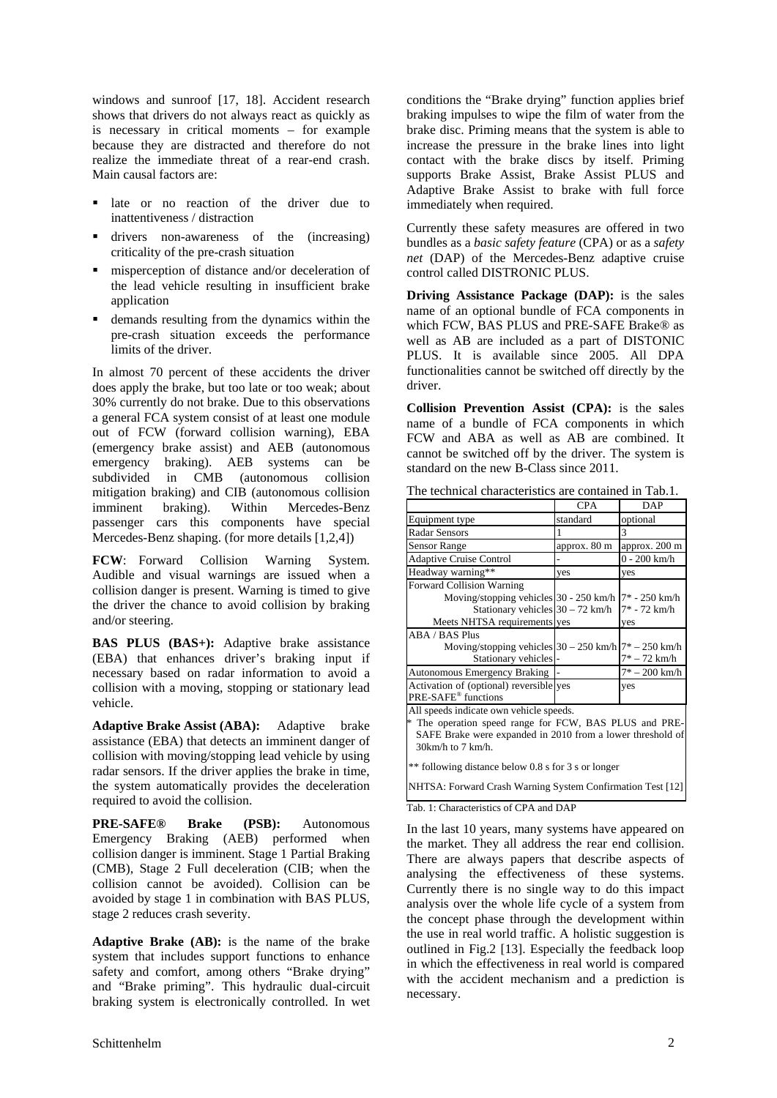windows and sunroof [17, 18]. Accident research shows that drivers do not always react as quickly as is necessary in critical moments – for example because they are distracted and therefore do not realize the immediate threat of a rear-end crash. Main causal factors are:

- late or no reaction of the driver due to inattentiveness / distraction
- drivers non-awareness of the (increasing) criticality of the pre-crash situation
- misperception of distance and/or deceleration of the lead vehicle resulting in insufficient brake application
- demands resulting from the dynamics within the pre-crash situation exceeds the performance limits of the driver.

In almost 70 percent of these accidents the driver does apply the brake, but too late or too weak; about 30% currently do not brake. Due to this observations a general FCA system consist of at least one module out of FCW (forward collision warning), EBA (emergency brake assist) and AEB (autonomous emergency braking). AEB systems can be subdivided in CMB (autonomous collision mitigation braking) and CIB (autonomous collision imminent braking). Within Mercedes-Benz passenger cars this components have special Mercedes-Benz shaping. (for more details [1,2,4])

**FCW**: Forward Collision Warning System. Audible and visual warnings are issued when a collision danger is present. Warning is timed to give the driver the chance to avoid collision by braking and/or steering.

**BAS PLUS (BAS+):** Adaptive brake assistance (EBA) that enhances driver's braking input if necessary based on radar information to avoid a collision with a moving, stopping or stationary lead vehicle.

**Adaptive Brake Assist (ABA):** Adaptive brake assistance (EBA) that detects an imminent danger of collision with moving/stopping lead vehicle by using radar sensors. If the driver applies the brake in time, the system automatically provides the deceleration required to avoid the collision.

**PRE-SAFE® Brake (PSB):** Autonomous Emergency Braking (AEB) performed when collision danger is imminent. Stage 1 Partial Braking (CMB), Stage 2 Full deceleration (CIB; when the collision cannot be avoided). Collision can be avoided by stage 1 in combination with BAS PLUS, stage 2 reduces crash severity.

**Adaptive Brake (AB):** is the name of the brake system that includes support functions to enhance safety and comfort, among others "Brake drying" and "Brake priming". This hydraulic dual-circuit braking system is electronically controlled. In wet conditions the "Brake drying" function applies brief braking impulses to wipe the film of water from the brake disc. Priming means that the system is able to increase the pressure in the brake lines into light contact with the brake discs by itself. Priming supports Brake Assist, Brake Assist PLUS and Adaptive Brake Assist to brake with full force immediately when required.

Currently these safety measures are offered in two bundles as a *basic safety feature* (CPA) or as a *safety net* (DAP) of the Mercedes-Benz adaptive cruise control called DISTRONIC PLUS.

**Driving Assistance Package (DAP):** is the sales name of an optional bundle of FCA components in which FCW, BAS PLUS and PRE-SAFE Brake® as well as AB are included as a part of DISTONIC PLUS. It is available since 2005. All DPA functionalities cannot be switched off directly by the driver.

**Collision Prevention Assist (CPA):** is the **s**ales name of a bundle of FCA components in which FCW and ABA as well as AB are combined. It cannot be switched off by the driver. The system is standard on the new B-Class since 2011.

|                                                                                                                                                                                           | <b>CPA</b>   | DAP             |  |
|-------------------------------------------------------------------------------------------------------------------------------------------------------------------------------------------|--------------|-----------------|--|
| Equipment type                                                                                                                                                                            | standard     | optional        |  |
| <b>Radar Sensors</b>                                                                                                                                                                      | 1            | 3               |  |
| <b>Sensor Range</b>                                                                                                                                                                       | approx. 80 m | approx. 200 m   |  |
| <b>Adaptive Cruise Control</b>                                                                                                                                                            |              | 0 - 200 km/h    |  |
| Headway warning**                                                                                                                                                                         | yes          | yes             |  |
| <b>Forward Collision Warning</b>                                                                                                                                                          |              |                 |  |
| Moving/stopping vehicles 30 - 250 km/h                                                                                                                                                    |              | 7* - 250 km/h   |  |
| Stationary vehicles $30 - 72$ km/h                                                                                                                                                        |              | 7* - 72 km/h    |  |
| Meets NHTSA requirements yes                                                                                                                                                              |              | yes             |  |
| ABA / BAS Plus                                                                                                                                                                            |              |                 |  |
| Moving/stopping vehicles $30 - 250$ km/h $7* - 250$ km/h                                                                                                                                  |              |                 |  |
| Stationary vehicles -                                                                                                                                                                     |              | 7* – 72 km/h    |  |
| Autonomous Emergency Braking                                                                                                                                                              |              | $7* - 200$ km/h |  |
| Activation of (optional) reversible yes                                                                                                                                                   |              | yes             |  |
| PRE-SAFE <sup>®</sup> functions                                                                                                                                                           |              |                 |  |
| All speeds indicate own vehicle speeds.<br>* The operation speed range for FCW, BAS PLUS and PRE-<br>SAFE Brake were expanded in 2010 from a lower threshold of<br>$30km/h$ to $7 km/h$ . |              |                 |  |
| ** following distance below 0.8 s for 3 s or longer                                                                                                                                       |              |                 |  |
| NHTSA: Forward Crash Warning System Confirmation Test [12]                                                                                                                                |              |                 |  |

The technical characteristics are contained in Tab.1.

Tab. 1: Characteristics of CPA and DAP

In the last 10 years, many systems have appeared on the market. They all address the rear end collision. There are always papers that describe aspects of analysing the effectiveness of these systems. Currently there is no single way to do this impact analysis over the whole life cycle of a system from the concept phase through the development within the use in real world traffic. A holistic suggestion is outlined in Fig.2 [13]. Especially the feedback loop in which the effectiveness in real world is compared with the accident mechanism and a prediction is necessary.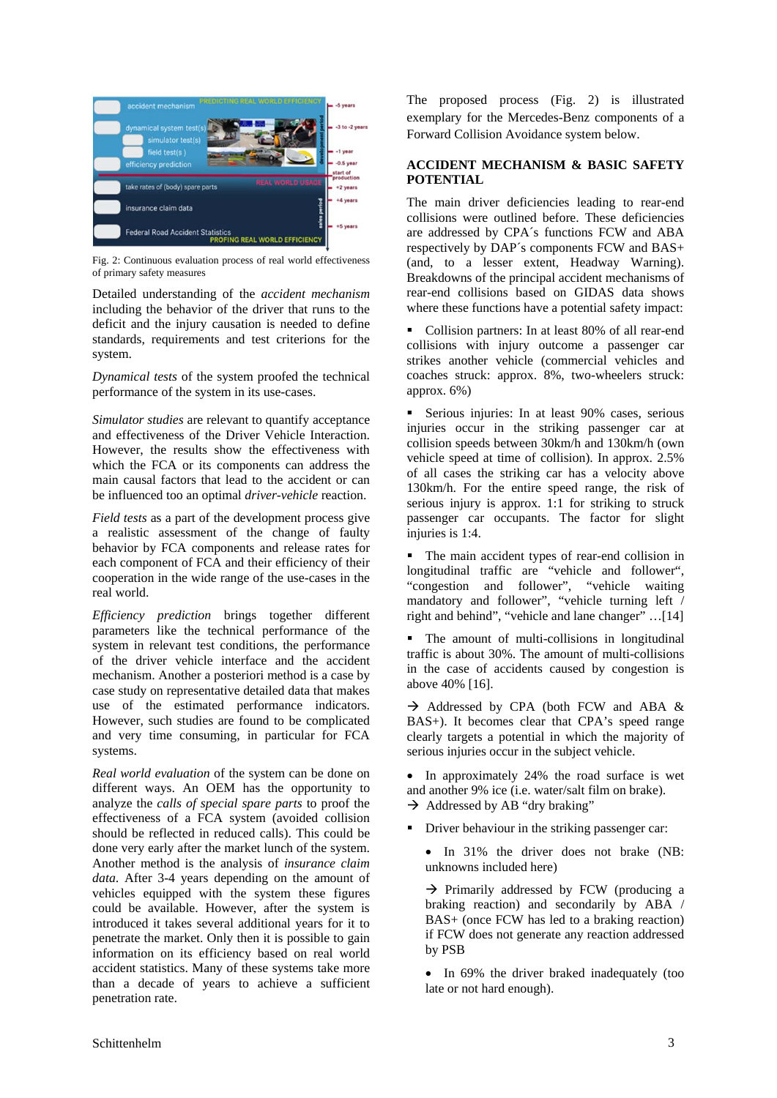

Fig. 2: Continuous evaluation process of real world effectiveness of primary safety measures

Detailed understanding of the *accident mechanism* including the behavior of the driver that runs to the deficit and the injury causation is needed to define standards, requirements and test criterions for the system.

*Dynamical tests* of the system proofed the technical performance of the system in its use-cases.

*Simulator studies* are relevant to quantify acceptance and effectiveness of the Driver Vehicle Interaction. However, the results show the effectiveness with which the FCA or its components can address the main causal factors that lead to the accident or can be influenced too an optimal *driver-vehicle* reaction.

*Field tests* as a part of the development process give a realistic assessment of the change of faulty behavior by FCA components and release rates for each component of FCA and their efficiency of their cooperation in the wide range of the use-cases in the real world.

*Efficiency prediction* brings together different parameters like the technical performance of the system in relevant test conditions, the performance of the driver vehicle interface and the accident mechanism. Another a posteriori method is a case by case study on representative detailed data that makes use of the estimated performance indicators. However, such studies are found to be complicated and very time consuming, in particular for FCA systems.

*Real world evaluation* of the system can be done on different ways. An OEM has the opportunity to analyze the *calls of special spare parts* to proof the effectiveness of a FCA system (avoided collision should be reflected in reduced calls). This could be done very early after the market lunch of the system. Another method is the analysis of *insurance claim data*. After 3-4 years depending on the amount of vehicles equipped with the system these figures could be available. However, after the system is introduced it takes several additional years for it to penetrate the market. Only then it is possible to gain information on its efficiency based on real world accident statistics. Many of these systems take more than a decade of years to achieve a sufficient penetration rate.

The proposed process (Fig. 2) is illustrated exemplary for the Mercedes-Benz components of a Forward Collision Avoidance system below.

# **ACCIDENT MECHANISM & BASIC SAFETY POTENTIAL**

The main driver deficiencies leading to rear-end collisions were outlined before. These deficiencies are addressed by CPA´s functions FCW and ABA respectively by DAP´s components FCW and BAS+ (and, to a lesser extent, Headway Warning). Breakdowns of the principal accident mechanisms of rear-end collisions based on GIDAS data shows where these functions have a potential safety impact:

• Collision partners: In at least 80% of all rear-end collisions with injury outcome a passenger car strikes another vehicle (commercial vehicles and coaches struck: approx. 8%, two-wheelers struck: approx. 6%)

Serious injuries: In at least 90% cases, serious injuries occur in the striking passenger car at collision speeds between 30km/h and 130km/h (own vehicle speed at time of collision). In approx. 2.5% of all cases the striking car has a velocity above 130km/h. For the entire speed range, the risk of serious injury is approx. 1:1 for striking to struck passenger car occupants. The factor for slight injuries is 1:4.

 The main accident types of rear-end collision in longitudinal traffic are "vehicle and follower", "congestion and follower", "vehicle waiting mandatory and follower", "vehicle turning left / right and behind", "vehicle and lane changer" …[14]

 The amount of multi-collisions in longitudinal traffic is about 30%. The amount of multi-collisions in the case of accidents caused by congestion is above 40% [16].

 $\rightarrow$  Addressed by CPA (both FCW and ABA & BAS+). It becomes clear that CPA's speed range clearly targets a potential in which the majority of serious injuries occur in the subject vehicle.

• In approximately 24% the road surface is wet and another 9% ice (i.e. water/salt film on brake).

 $\rightarrow$  Addressed by AB "dry braking"

Driver behaviour in the striking passenger car:

• In 31% the driver does not brake (NB: unknowns included here)

 $\rightarrow$  Primarily addressed by FCW (producing a braking reaction) and secondarily by ABA / BAS+ (once FCW has led to a braking reaction) if FCW does not generate any reaction addressed by PSB

• In 69% the driver braked inadequately (too late or not hard enough).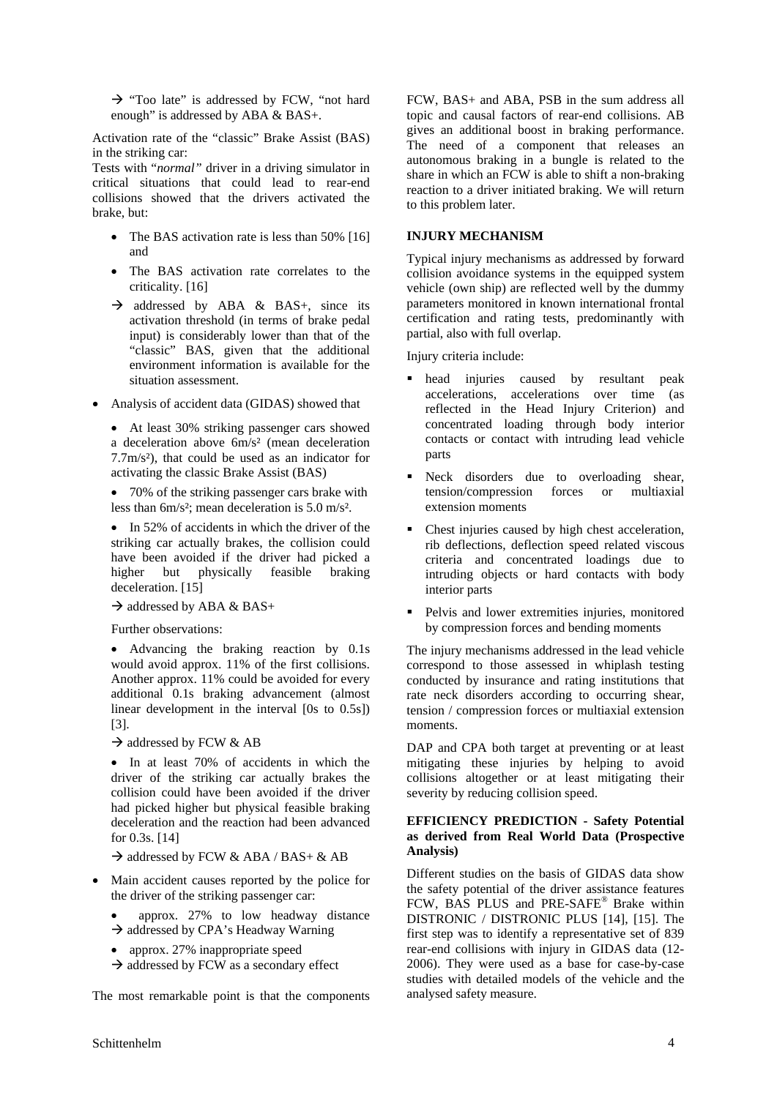$\rightarrow$  "Too late" is addressed by FCW, "not hard enough" is addressed by ABA & BAS+.

Activation rate of the "classic" Brake Assist (BAS) in the striking car:

Tests with "*normal"* driver in a driving simulator in critical situations that could lead to rear-end collisions showed that the drivers activated the brake, but:

- The BAS activation rate is less than 50% [16] and
- The BAS activation rate correlates to the criticality. [16]
- $\rightarrow$  addressed by ABA & BAS+, since its activation threshold (in terms of brake pedal input) is considerably lower than that of the "classic" BAS, given that the additional environment information is available for the situation assessment.
- Analysis of accident data (GIDAS) showed that
	- At least 30% striking passenger cars showed a deceleration above 6m/s² (mean deceleration 7.7m/s²), that could be used as an indicator for activating the classic Brake Assist (BAS)
	- 70% of the striking passenger cars brake with less than 6m/s²; mean deceleration is 5.0 m/s².
	- In 52% of accidents in which the driver of the striking car actually brakes, the collision could have been avoided if the driver had picked a<br>higher but physically feasible braking higher but physically feasible braking deceleration. [15]
	- $\rightarrow$  addressed by ABA & BAS+

Further observations:

 Advancing the braking reaction by 0.1s would avoid approx. 11% of the first collisions. Another approx. 11% could be avoided for every additional 0.1s braking advancement (almost linear development in the interval [0s to 0.5s]) [3].

 $\rightarrow$  addressed by FCW & AB

• In at least 70% of accidents in which the driver of the striking car actually brakes the collision could have been avoided if the driver had picked higher but physical feasible braking deceleration and the reaction had been advanced for 0.3s. [14]

 $\rightarrow$  addressed by FCW & ABA / BAS+ & AB

- Main accident causes reported by the police for the driver of the striking passenger car:
	- approx. 27% to low headway distance  $\rightarrow$  addressed by CPA's Headway Warning
	- approx. 27% inappropriate speed
	- $\rightarrow$  addressed by FCW as a secondary effect

The most remarkable point is that the components

FCW, BAS+ and ABA, PSB in the sum address all topic and causal factors of rear-end collisions. AB gives an additional boost in braking performance. The need of a component that releases an autonomous braking in a bungle is related to the share in which an FCW is able to shift a non-braking reaction to a driver initiated braking. We will return to this problem later.

# **INJURY MECHANISM**

Typical injury mechanisms as addressed by forward collision avoidance systems in the equipped system vehicle (own ship) are reflected well by the dummy parameters monitored in known international frontal certification and rating tests, predominantly with partial, also with full overlap.

Injury criteria include:

- head injuries caused by resultant peak accelerations, accelerations over time (as reflected in the Head Injury Criterion) and concentrated loading through body interior contacts or contact with intruding lead vehicle parts
- Neck disorders due to overloading shear, tension/compression forces or multiaxial extension moments
- Chest injuries caused by high chest acceleration, rib deflections, deflection speed related viscous criteria and concentrated loadings due to intruding objects or hard contacts with body interior parts
- Pelvis and lower extremities injuries, monitored by compression forces and bending moments

The injury mechanisms addressed in the lead vehicle correspond to those assessed in whiplash testing conducted by insurance and rating institutions that rate neck disorders according to occurring shear, tension / compression forces or multiaxial extension moments.

DAP and CPA both target at preventing or at least mitigating these injuries by helping to avoid collisions altogether or at least mitigating their severity by reducing collision speed.

# **EFFICIENCY PREDICTION - Safety Potential as derived from Real World Data (Prospective Analysis)**

Different studies on the basis of GIDAS data show the safety potential of the driver assistance features FCW, BAS PLUS and PRE-SAFE® Brake within DISTRONIC / DISTRONIC PLUS [14], [15]. The first step was to identify a representative set of 839 rear-end collisions with injury in GIDAS data (12- 2006). They were used as a base for case-by-case studies with detailed models of the vehicle and the analysed safety measure.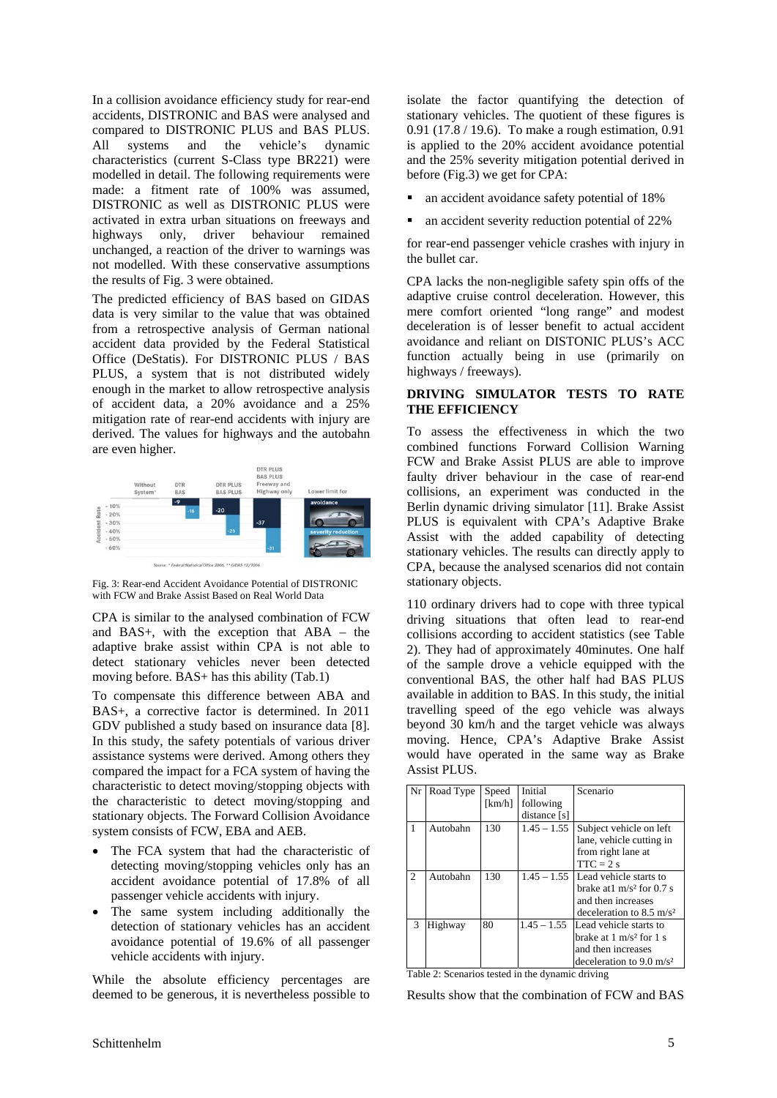In a collision avoidance efficiency study for rear-end accidents, DISTRONIC and BAS were analysed and compared to DISTRONIC PLUS and BAS PLUS. All systems and the vehicle's dynamic characteristics (current S-Class type BR221) were modelled in detail. The following requirements were made: a fitment rate of 100% was assumed, DISTRONIC as well as DISTRONIC PLUS were activated in extra urban situations on freeways and highways only, driver behaviour remained unchanged, a reaction of the driver to warnings was not modelled. With these conservative assumptions the results of Fig. 3 were obtained.

The predicted efficiency of BAS based on GIDAS data is very similar to the value that was obtained from a retrospective analysis of German national accident data provided by the Federal Statistical Office (DeStatis). For DISTRONIC PLUS / BAS PLUS, a system that is not distributed widely enough in the market to allow retrospective analysis of accident data, a 20% avoidance and a 25% mitigation rate of rear-end accidents with injury are derived. The values for highways and the autobahn are even higher.



Fig. 3: Rear-end Accident Avoidance Potential of DISTRONIC with FCW and Brake Assist Based on Real World Data

CPA is similar to the analysed combination of FCW and BAS+, with the exception that ABA – the adaptive brake assist within CPA is not able to detect stationary vehicles never been detected moving before. BAS+ has this ability (Tab.1)

To compensate this difference between ABA and BAS+, a corrective factor is determined. In 2011 GDV published a study based on insurance data [8]. In this study, the safety potentials of various driver assistance systems were derived. Among others they compared the impact for a FCA system of having the characteristic to detect moving/stopping objects with the characteristic to detect moving/stopping and stationary objects. The Forward Collision Avoidance system consists of FCW, EBA and AEB.

- The FCA system that had the characteristic of detecting moving/stopping vehicles only has an accident avoidance potential of 17.8% of all passenger vehicle accidents with injury.
- The same system including additionally the detection of stationary vehicles has an accident avoidance potential of 19.6% of all passenger vehicle accidents with injury.

While the absolute efficiency percentages are deemed to be generous, it is nevertheless possible to isolate the factor quantifying the detection of stationary vehicles. The quotient of these figures is 0.91 (17.8 / 19.6). To make a rough estimation, 0.91 is applied to the 20% accident avoidance potential and the 25% severity mitigation potential derived in before (Fig.3) we get for CPA:

- an accident avoidance safety potential of 18%
- an accident severity reduction potential of 22%

for rear-end passenger vehicle crashes with injury in the bullet car.

CPA lacks the non-negligible safety spin offs of the adaptive cruise control deceleration. However, this mere comfort oriented "long range" and modest deceleration is of lesser benefit to actual accident avoidance and reliant on DISTONIC PLUS's ACC function actually being in use (primarily on highways / freeways).

# **DRIVING SIMULATOR TESTS TO RATE THE EFFICIENCY**

To assess the effectiveness in which the two combined functions Forward Collision Warning FCW and Brake Assist PLUS are able to improve faulty driver behaviour in the case of rear-end collisions, an experiment was conducted in the Berlin dynamic driving simulator [11]. Brake Assist PLUS is equivalent with CPA's Adaptive Brake Assist with the added capability of detecting stationary vehicles. The results can directly apply to CPA, because the analysed scenarios did not contain stationary objects.

110 ordinary drivers had to cope with three typical driving situations that often lead to rear-end collisions according to accident statistics (see Table 2). They had of approximately 40minutes. One half of the sample drove a vehicle equipped with the conventional BAS, the other half had BAS PLUS available in addition to BAS. In this study, the initial travelling speed of the ego vehicle was always beyond 30 km/h and the target vehicle was always moving. Hence, CPA's Adaptive Brake Assist would have operated in the same way as Brake Assist PLUS.

| Nr             | Road Type | Speed  | Initial       | Scenario                                     |
|----------------|-----------|--------|---------------|----------------------------------------------|
|                |           | [km/h] | following     |                                              |
|                |           |        | distance [s]  |                                              |
|                | Autobahn  | 130    | $1.45 - 1.55$ | Subject vehicle on left                      |
|                |           |        |               | lane, vehicle cutting in                     |
|                |           |        |               | from right lane at                           |
|                |           |        |               | $TTC = 2 s$                                  |
| $\mathfrak{D}$ | Autobahn  | 130    |               | $1.45 - 1.55$ Lead vehicle starts to         |
|                |           |        |               | brake at $1 \text{ m/s}^2$ for 0.7 s         |
|                |           |        |               | and then increases                           |
|                |           |        |               | deceleration to 8.5 $\text{m/s}^2$           |
| 3              | Highway   | 80     | $1.45 - 1.55$ | Lead vehicle starts to                       |
|                |           |        |               | brake at $1 \text{ m/s}^2$ for $1 \text{ s}$ |
|                |           |        |               | and then increases                           |
|                |           |        |               | deceleration to $9.0 \text{ m/s}^2$          |

Table 2: Scenarios tested in the dynamic driving

Results show that the combination of FCW and BAS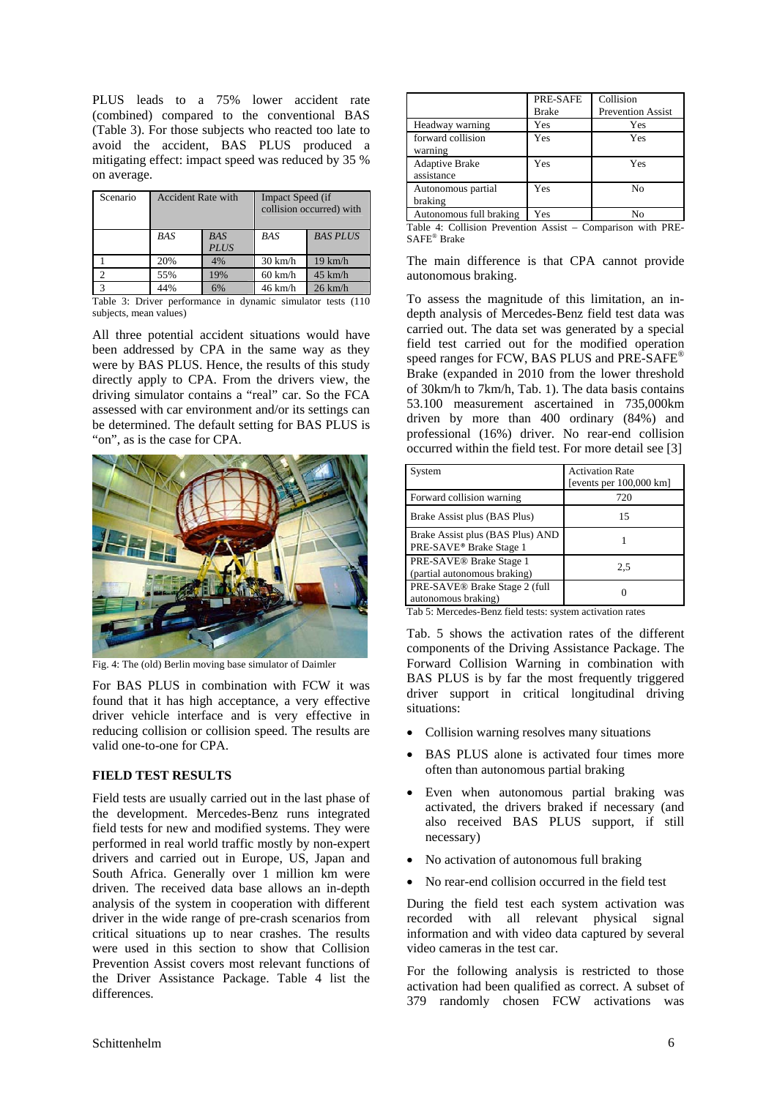PLUS leads to a 75% lower accident rate (combined) compared to the conventional BAS (Table 3). For those subjects who reacted too late to avoid the accident, BAS PLUS produced a mitigating effect: impact speed was reduced by 35 % on average.

| Scenario | <b>Accident Rate with</b> |                           | <b>Impact Speed (if</b><br>collision occurred) with |                   |
|----------|---------------------------|---------------------------|-----------------------------------------------------|-------------------|
|          | <b>BAS</b>                | <b>BAS</b><br><b>PLUS</b> | <b>BAS</b>                                          | <b>BAS PLUS</b>   |
|          | 20%                       | 4%                        | $30 \text{ km/h}$                                   | $19 \text{ km/h}$ |
|          | 55%                       | 19%                       | $60 \text{ km/h}$                                   | $45$ km/h         |
| 3        | 44%                       | 6%                        | $46$ km/h                                           | $26 \text{ km/h}$ |

Table 3: Driver performance in dynamic simulator tests (110 subjects, mean values)

All three potential accident situations would have been addressed by CPA in the same way as they were by BAS PLUS. Hence, the results of this study directly apply to CPA. From the drivers view, the driving simulator contains a "real" car. So the FCA assessed with car environment and/or its settings can be determined. The default setting for BAS PLUS is "on", as is the case for CPA.



Fig. 4: The (old) Berlin moving base simulator of Daimler

For BAS PLUS in combination with FCW it was found that it has high acceptance, a very effective driver vehicle interface and is very effective in reducing collision or collision speed. The results are valid one-to-one for CPA.

# **FIELD TEST RESULTS**

Field tests are usually carried out in the last phase of the development. Mercedes-Benz runs integrated field tests for new and modified systems. They were performed in real world traffic mostly by non-expert drivers and carried out in Europe, US, Japan and South Africa. Generally over 1 million km were driven. The received data base allows an in-depth analysis of the system in cooperation with different driver in the wide range of pre-crash scenarios from critical situations up to near crashes. The results were used in this section to show that Collision Prevention Assist covers most relevant functions of the Driver Assistance Package. Table 4 list the differences.

|                                     | PRE-SAFE<br><b>Brake</b> | Collision<br><b>Prevention Assist</b> |
|-------------------------------------|--------------------------|---------------------------------------|
| Headway warning                     | Yes                      | Yes                                   |
| forward collision<br>warning        | Yes                      | Yes                                   |
| <b>Adaptive Brake</b><br>assistance | Yes                      | Yes                                   |
| Autonomous partial<br>braking       | Yes                      | No                                    |
| Autonomous full braking             | Yes                      |                                       |

Table 4: Collision Prevention Assist – Comparison with PRE-SAFE® Brake

The main difference is that CPA cannot provide autonomous braking.

To assess the magnitude of this limitation, an indepth analysis of Mercedes-Benz field test data was carried out. The data set was generated by a special field test carried out for the modified operation speed ranges for FCW, BAS PLUS and PRE-SAFE® Brake (expanded in 2010 from the lower threshold of 30km/h to 7km/h, Tab. 1). The data basis contains 53.100 measurement ascertained in 735,000km driven by more than 400 ordinary (84%) and professional (16%) driver. No rear-end collision occurred within the field test. For more detail see [3]

| System                                                                  | <b>Activation Rate</b><br>[events per 100,000 km] |
|-------------------------------------------------------------------------|---------------------------------------------------|
| Forward collision warning                                               | 720                                               |
| Brake Assist plus (BAS Plus)                                            | 15                                                |
| Brake Assist plus (BAS Plus) AND<br>PRE-SAVE <sup>®</sup> Brake Stage 1 |                                                   |
| PRE-SAVE <sup>®</sup> Brake Stage 1<br>(partial autonomous braking)     | 2.5                                               |
| PRE-SAVE <sup>®</sup> Brake Stage 2 (full<br>autonomous braking)        |                                                   |

Tab 5: Mercedes-Benz field tests: system activation rates

Tab. 5 shows the activation rates of the different components of the Driving Assistance Package. The Forward Collision Warning in combination with BAS PLUS is by far the most frequently triggered driver support in critical longitudinal driving situations:

- Collision warning resolves many situations
- BAS PLUS alone is activated four times more often than autonomous partial braking
- Even when autonomous partial braking was activated, the drivers braked if necessary (and also received BAS PLUS support, if still necessary)
- No activation of autonomous full braking
- No rear-end collision occurred in the field test

During the field test each system activation was recorded with all relevant physical signal information and with video data captured by several video cameras in the test car.

For the following analysis is restricted to those activation had been qualified as correct. A subset of 379 randomly chosen FCW activations was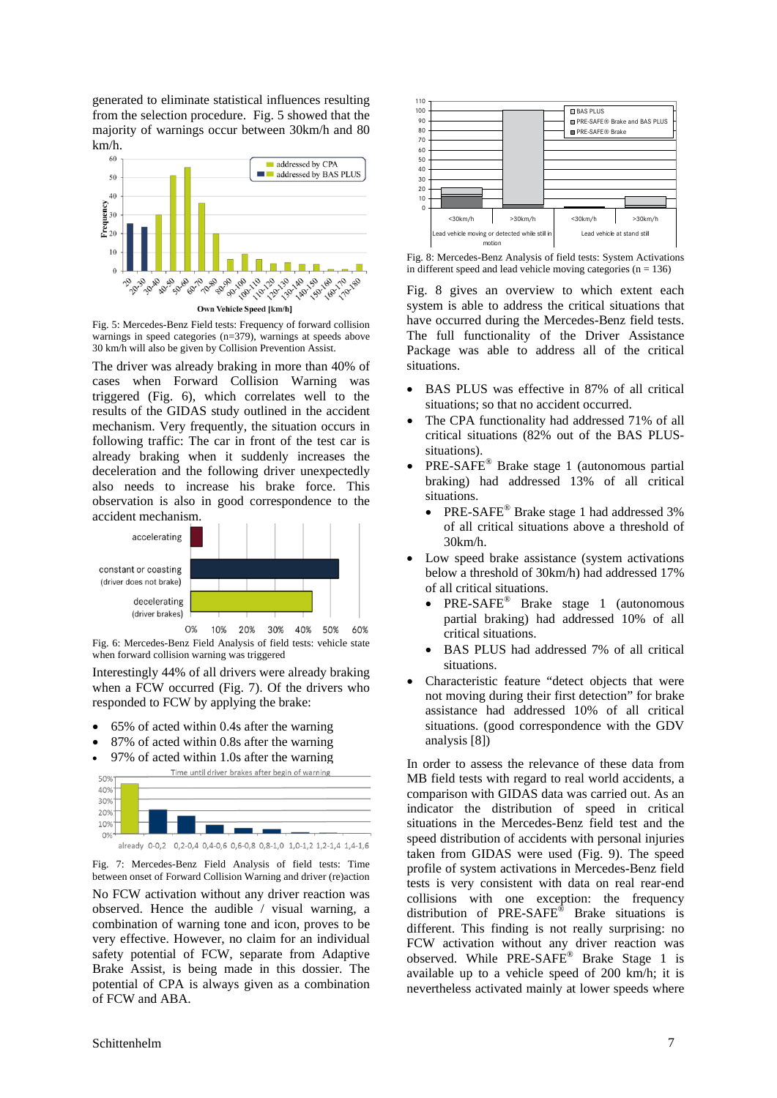generated to eliminate statistical influences resulting from the selection procedure. Fig. 5 showed that the majority of warnings occur between 30km/h and 80 km/h.



Fig. 5: Mercedes-Benz Field tests: Frequency of forward collision warnings in speed categories (n=379), warnings at speeds above 30 km/h will also be given by Collision Prevention Assist.

The driver was already braking in more than 40% of cases when Forward Collision Warning was triggered (Fig. 6), which correlates well to the results of the GIDAS study outlined in the accident mechanism. Very frequently, the situation occurs in following traffic: The car in front of the test car is already braking when it suddenly increases the deceleration and the following driver unexpectedly also needs to increase his brake force. This observation is also in good correspondence to the accident mechanism.



60% Fig. 6: Mercedes-Benz Field Analysis of field tests: vehicle state when forward collision warning was triggered

Interestingly 44% of all drivers were already braking when a FCW occurred (Fig. 7). Of the drivers who responded to FCW by applying the brake:

- 65% of acted within 0.4s after the warning
- 87% of acted within 0.8s after the warning
- 97% of acted within 1.0s after the warning



Fig. 7: Mercedes-Benz Field Analysis of field tests: Time between onset of Forward Collision Warning and driver (re)action No FCW activation without any driver reaction was observed. Hence the audible / visual warning, a combination of warning tone and icon, proves to be very effective. However, no claim for an individual safety potential of FCW, separate from Adaptive Brake Assist, is being made in this dossier. The potential of CPA is always given as a combination of FCW and ABA.



Fig. 8: Mercedes-Benz Analysis of field tests: System Activations in different speed and lead vehicle moving categories  $(n = 136)$ 

Fig. 8 gives an overview to which extent each system is able to address the critical situations that have occurred during the Mercedes-Benz field tests. The full functionality of the Driver Assistance Package was able to address all of the critical situations.

- BAS PLUS was effective in 87% of all critical situations; so that no accident occurred.
- The CPA functionality had addressed 71% of all critical situations (82% out of the BAS PLUSsituations).
- PRE-SAFE® Brake stage 1 (autonomous partial braking) had addressed 13% of all critical situations.
	- PRE-SAFE® Brake stage 1 had addressed 3% of all critical situations above a threshold of 30km/h.
- Low speed brake assistance (system activations below a threshold of 30km/h) had addressed 17% of all critical situations.
	- PRE-SAFE® Brake stage 1 (autonomous partial braking) had addressed 10% of all critical situations.
	- BAS PLUS had addressed 7% of all critical situations.
- Characteristic feature "detect objects that were not moving during their first detection" for brake assistance had addressed 10% of all critical situations. (good correspondence with the GDV analysis [8])

In order to assess the relevance of these data from MB field tests with regard to real world accidents, a comparison with GIDAS data was carried out. As an indicator the distribution of speed in critical situations in the Mercedes-Benz field test and the speed distribution of accidents with personal injuries taken from GIDAS were used (Fig. 9). The speed profile of system activations in Mercedes-Benz field tests is very consistent with data on real rear-end collisions with one exception: the frequency distribution of PRE-SAFE® Brake situations is different. This finding is not really surprising: no FCW activation without any driver reaction was observed. While PRE-SAFE® Brake Stage 1 is available up to a vehicle speed of 200 km/h; it is nevertheless activated mainly at lower speeds where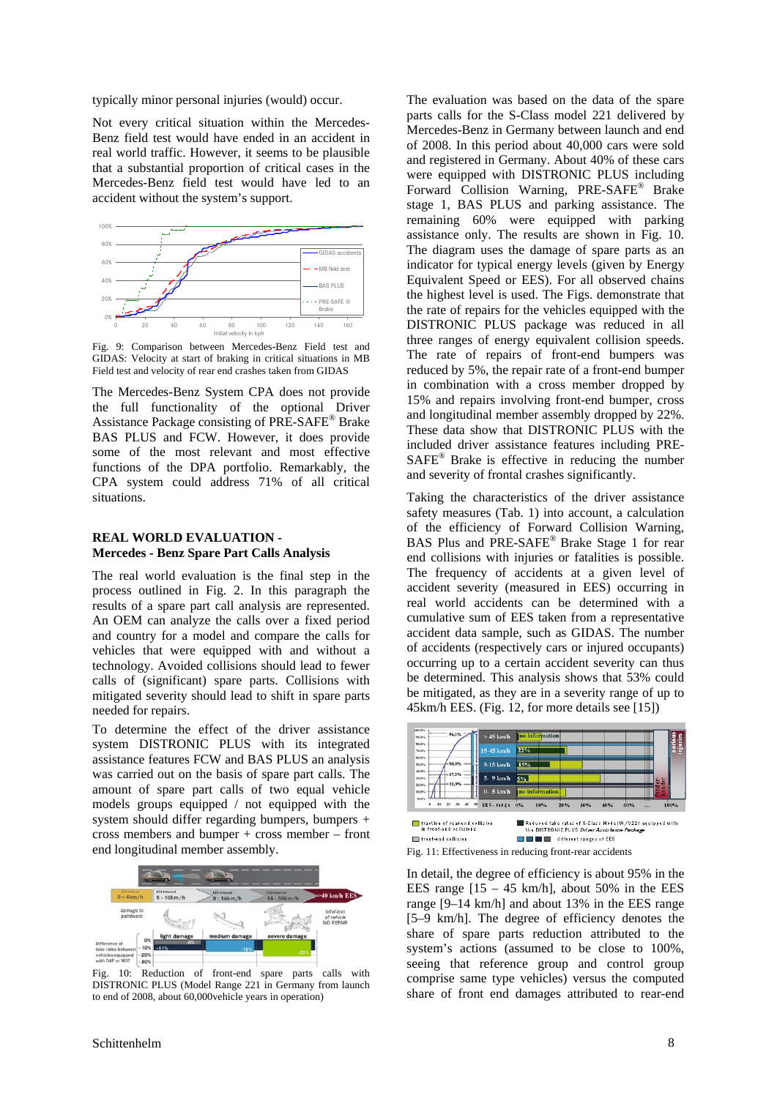typically minor personal injuries (would) occur.

Not every critical situation within the Mercedes-Benz field test would have ended in an accident in real world traffic. However, it seems to be plausible that a substantial proportion of critical cases in the Mercedes-Benz field test would have led to an accident without the system's support.



Fig. 9: Comparison between Mercedes-Benz Field test and GIDAS: Velocity at start of braking in critical situations in MB Field test and velocity of rear end crashes taken from GIDAS

The Mercedes-Benz System CPA does not provide the full functionality of the optional Driver Assistance Package consisting of PRE-SAFE® Brake BAS PLUS and FCW. However, it does provide some of the most relevant and most effective functions of the DPA portfolio. Remarkably, the CPA system could address 71% of all critical situations.

# **REAL WORLD EVALUATION - Mercedes - Benz Spare Part Calls Analysis**

The real world evaluation is the final step in the process outlined in Fig. 2. In this paragraph the results of a spare part call analysis are represented. An OEM can analyze the calls over a fixed period and country for a model and compare the calls for vehicles that were equipped with and without a technology. Avoided collisions should lead to fewer calls of (significant) spare parts. Collisions with mitigated severity should lead to shift in spare parts needed for repairs.

To determine the effect of the driver assistance system DISTRONIC PLUS with its integrated assistance features FCW and BAS PLUS an analysis was carried out on the basis of spare part calls. The amount of spare part calls of two equal vehicle models groups equipped / not equipped with the system should differ regarding bumpers, bumpers + cross members and bumper + cross member – front end longitudinal member assembly.



Fig. 10: Reduction of front-end spare parts calls with DISTRONIC PLUS (Model Range 221 in Germany from launch to end of 2008, about 60,000vehicle years in operation)

The evaluation was based on the data of the spare parts calls for the S-Class model 221 delivered by Mercedes-Benz in Germany between launch and end of 2008. In this period about 40,000 cars were sold and registered in Germany. About 40% of these cars were equipped with DISTRONIC PLUS including Forward Collision Warning, PRE-SAFE® Brake stage 1, BAS PLUS and parking assistance. The remaining 60% were equipped with parking assistance only. The results are shown in Fig. 10. The diagram uses the damage of spare parts as an indicator for typical energy levels (given by Energy Equivalent Speed or EES). For all observed chains the highest level is used. The Figs. demonstrate that the rate of repairs for the vehicles equipped with the DISTRONIC PLUS package was reduced in all three ranges of energy equivalent collision speeds. The rate of repairs of front-end bumpers was reduced by 5%, the repair rate of a front-end bumper in combination with a cross member dropped by 15% and repairs involving front-end bumper, cross and longitudinal member assembly dropped by 22%. These data show that DISTRONIC PLUS with the included driver assistance features including PRE-SAFE® Brake is effective in reducing the number and severity of frontal crashes significantly.

Taking the characteristics of the driver assistance safety measures (Tab. 1) into account, a calculation of the efficiency of Forward Collision Warning, BAS Plus and PRE-SAFE® Brake Stage 1 for rear end collisions with injuries or fatalities is possible. The frequency of accidents at a given level of accident severity (measured in EES) occurring in real world accidents can be determined with a cumulative sum of EES taken from a representative accident data sample, such as GIDAS. The number of accidents (respectively cars or injured occupants) occurring up to a certain accident severity can thus be determined. This analysis shows that 53% could be mitigated, as they are in a severity range of up to 45km/h EES. (Fig. 12, for more details see [15])



In detail, the degree of efficiency is about 95% in the EES range  $[15 - 45 \text{ km/h}]$ , about 50% in the EES range [9–14 km/h] and about 13% in the EES range [5–9 km/h]. The degree of efficiency denotes the share of spare parts reduction attributed to the system's actions (assumed to be close to 100%, seeing that reference group and control group comprise same type vehicles) versus the computed share of front end damages attributed to rear-end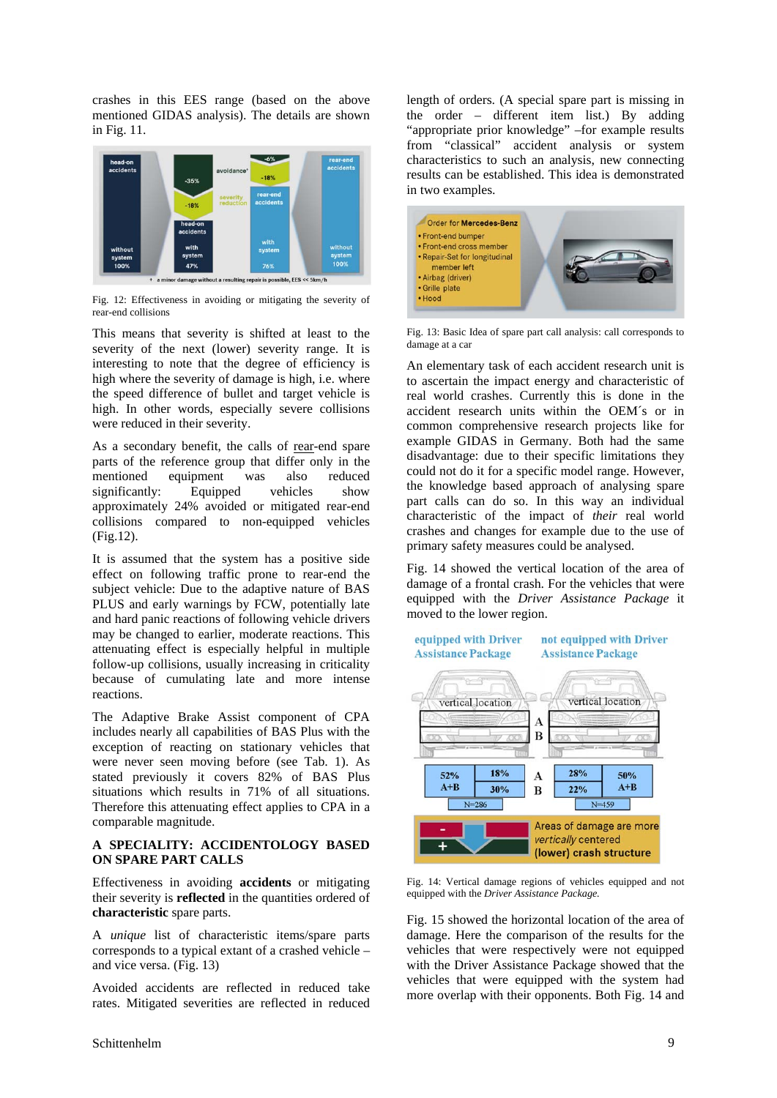crashes in this EES range (based on the above mentioned GIDAS analysis). The details are shown in Fig. 11.



Fig. 12: Effectiveness in avoiding or mitigating the severity of rear-end collisions

This means that severity is shifted at least to the severity of the next (lower) severity range. It is interesting to note that the degree of efficiency is high where the severity of damage is high, i.e. where the speed difference of bullet and target vehicle is high. In other words, especially severe collisions were reduced in their severity.

As a secondary benefit, the calls of rear-end spare parts of the reference group that differ only in the mentioned equipment was also reduced significantly: Equipped vehicles show approximately 24% avoided or mitigated rear-end collisions compared to non-equipped vehicles (Fig.12).

It is assumed that the system has a positive side effect on following traffic prone to rear-end the subject vehicle: Due to the adaptive nature of BAS PLUS and early warnings by FCW, potentially late and hard panic reactions of following vehicle drivers may be changed to earlier, moderate reactions. This attenuating effect is especially helpful in multiple follow-up collisions, usually increasing in criticality because of cumulating late and more intense reactions.

The Adaptive Brake Assist component of CPA includes nearly all capabilities of BAS Plus with the exception of reacting on stationary vehicles that were never seen moving before (see Tab. 1). As stated previously it covers 82% of BAS Plus situations which results in 71% of all situations. Therefore this attenuating effect applies to CPA in a comparable magnitude.

# **A SPECIALITY: ACCIDENTOLOGY BASED ON SPARE PART CALLS**

Effectiveness in avoiding **accidents** or mitigating their severity is **reflected** in the quantities ordered of **characteristic** spare parts.

A *unique* list of characteristic items/spare parts corresponds to a typical extant of a crashed vehicle – and vice versa. (Fig. 13)

Avoided accidents are reflected in reduced take rates. Mitigated severities are reflected in reduced

Schittenhelm 9

length of orders. (A special spare part is missing in the order – different item list.) By adding "appropriate prior knowledge" –for example results from "classical" accident analysis or system characteristics to such an analysis, new connecting results can be established. This idea is demonstrated in two examples.



Fig. 13: Basic Idea of spare part call analysis: call corresponds to damage at a car

An elementary task of each accident research unit is to ascertain the impact energy and characteristic of real world crashes. Currently this is done in the accident research units within the OEM´s or in common comprehensive research projects like for example GIDAS in Germany. Both had the same disadvantage: due to their specific limitations they could not do it for a specific model range. However, the knowledge based approach of analysing spare part calls can do so. In this way an individual characteristic of the impact of *their* real world crashes and changes for example due to the use of primary safety measures could be analysed.

Fig. 14 showed the vertical location of the area of damage of a frontal crash. For the vehicles that were equipped with the *Driver Assistance Package* it moved to the lower region.

#### not equipped with Driver equipped with Driver **Assistance Package Assistance Package**



Fig. 14: Vertical damage regions of vehicles equipped and not equipped with the *Driver Assistance Package.* 

Fig. 15 showed the horizontal location of the area of damage. Here the comparison of the results for the vehicles that were respectively were not equipped with the Driver Assistance Package showed that the vehicles that were equipped with the system had more overlap with their opponents. Both Fig. 14 and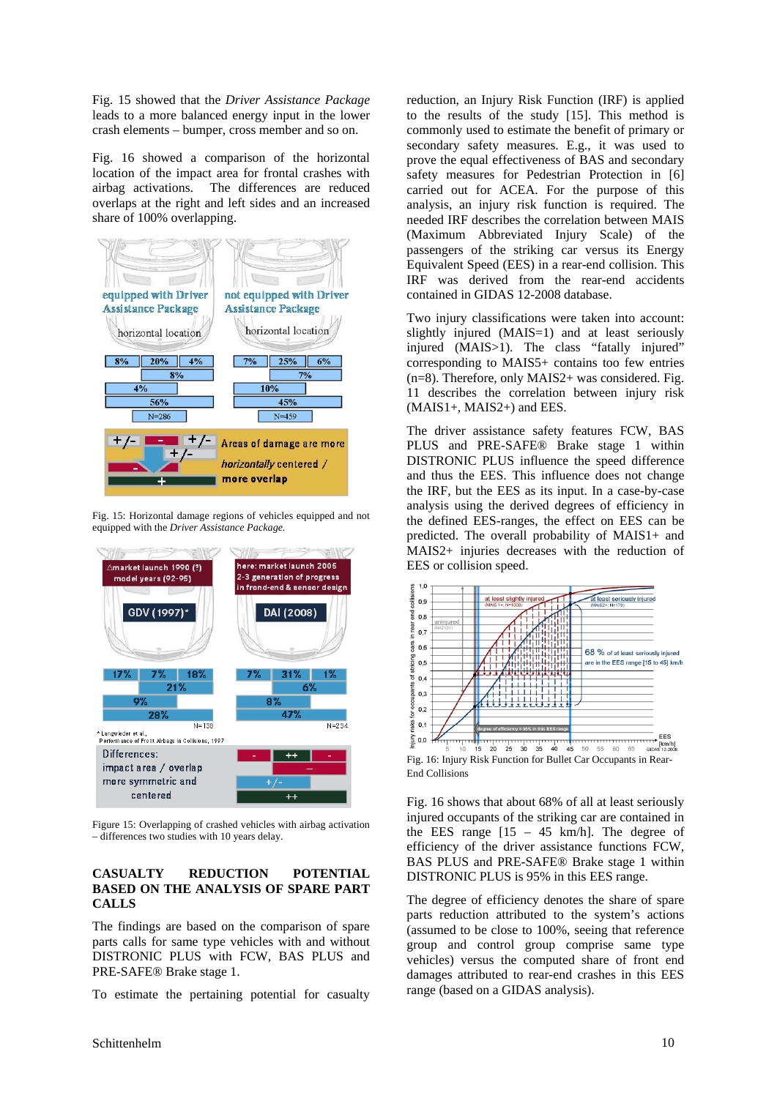Fig. 15 showed that the *Driver Assistance Package* leads to a more balanced energy input in the lower crash elements – bumper, cross member and so on.

Fig. 16 showed a comparison of the horizontal location of the impact area for frontal crashes with airbag activations. The differences are reduced overlaps at the right and left sides and an increased share of 100% overlapping.



Fig. 15: Horizontal damage regions of vehicles equipped and not equipped with the *Driver Assistance Package.*



Figure 15: Overlapping of crashed vehicles with airbag activation – differences two studies with 10 years delay.

## **CASUALTY REDUCTION POTENTIAL BASED ON THE ANALYSIS OF SPARE PART CALLS**

The findings are based on the comparison of spare parts calls for same type vehicles with and without DISTRONIC PLUS with FCW, BAS PLUS and PRE-SAFE® Brake stage 1.

To estimate the pertaining potential for casualty

reduction, an Injury Risk Function (IRF) is applied to the results of the study [15]. This method is commonly used to estimate the benefit of primary or secondary safety measures. E.g., it was used to prove the equal effectiveness of BAS and secondary safety measures for Pedestrian Protection in [6] carried out for ACEA. For the purpose of this analysis, an injury risk function is required. The needed IRF describes the correlation between MAIS (Maximum Abbreviated Injury Scale) of the passengers of the striking car versus its Energy Equivalent Speed (EES) in a rear-end collision. This IRF was derived from the rear-end accidents contained in GIDAS 12-2008 database.

Two injury classifications were taken into account: slightly injured (MAIS=1) and at least seriously injured (MAIS>1). The class "fatally injured" corresponding to MAIS5+ contains too few entries (n=8). Therefore, only MAIS2+ was considered. Fig. 11 describes the correlation between injury risk (MAIS1+, MAIS2+) and EES.

The driver assistance safety features FCW, BAS PLUS and PRE-SAFE® Brake stage 1 within DISTRONIC PLUS influence the speed difference and thus the EES. This influence does not change the IRF, but the EES as its input. In a case-by-case analysis using the derived degrees of efficiency in the defined EES-ranges, the effect on EES can be predicted. The overall probability of MAIS1+ and MAIS2+ injuries decreases with the reduction of EES or collision speed.



Fig. 16: Injury Risk Function for Bullet Car Occupants in Rear-End Collisions

Fig. 16 shows that about 68% of all at least seriously injured occupants of the striking car are contained in the EES range  $[15 - 45 \text{ km/h}]$ . The degree of efficiency of the driver assistance functions FCW, BAS PLUS and PRE-SAFE® Brake stage 1 within DISTRONIC PLUS is 95% in this EES range.

The degree of efficiency denotes the share of spare parts reduction attributed to the system's actions (assumed to be close to 100%, seeing that reference group and control group comprise same type vehicles) versus the computed share of front end damages attributed to rear-end crashes in this EES range (based on a GIDAS analysis).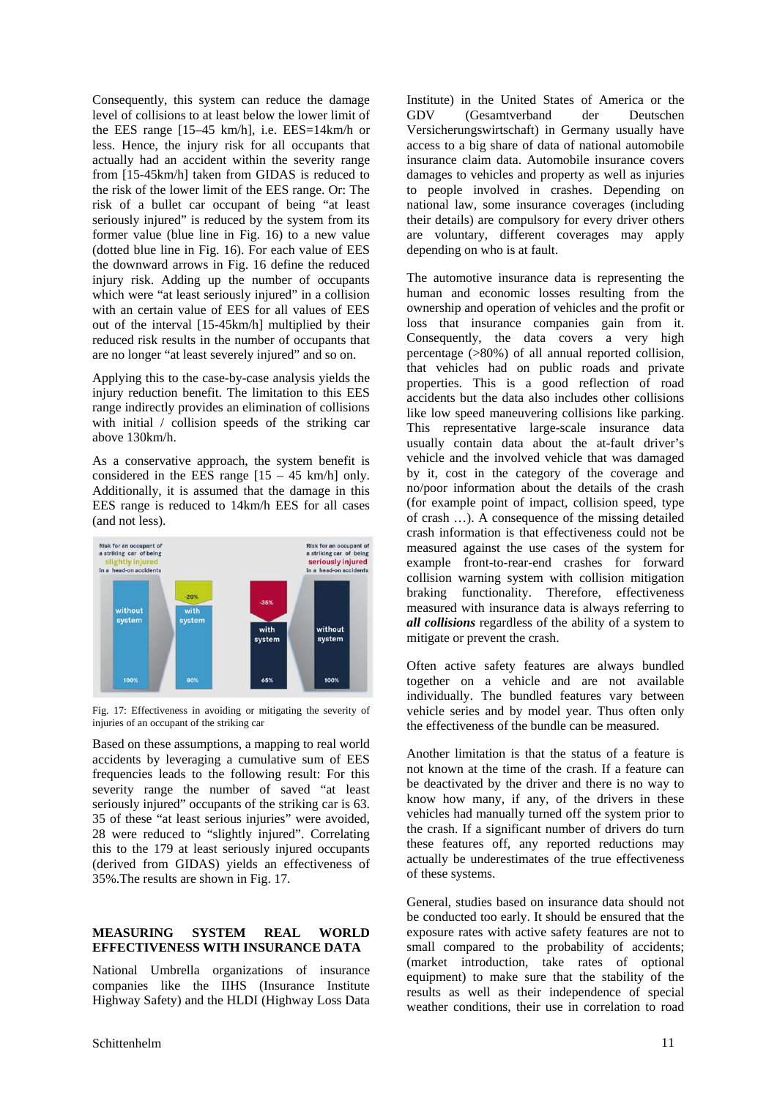Consequently, this system can reduce the damage level of collisions to at least below the lower limit of the EES range [15–45 km/h], i.e. EES=14km/h or less. Hence, the injury risk for all occupants that actually had an accident within the severity range from [15-45km/h] taken from GIDAS is reduced to the risk of the lower limit of the EES range. Or: The risk of a bullet car occupant of being "at least seriously injured" is reduced by the system from its former value (blue line in Fig. 16) to a new value (dotted blue line in Fig. 16). For each value of EES the downward arrows in Fig. 16 define the reduced injury risk. Adding up the number of occupants which were "at least seriously injured" in a collision with an certain value of EES for all values of EES out of the interval [15-45km/h] multiplied by their reduced risk results in the number of occupants that are no longer "at least severely injured" and so on.

Applying this to the case-by-case analysis yields the injury reduction benefit. The limitation to this EES range indirectly provides an elimination of collisions with initial / collision speeds of the striking car above 130km/h.

As a conservative approach, the system benefit is considered in the EES range  $[15 - 45 \text{ km/h}]$  only. Additionally, it is assumed that the damage in this EES range is reduced to 14km/h EES for all cases (and not less).



Fig. 17: Effectiveness in avoiding or mitigating the severity of injuries of an occupant of the striking car

Based on these assumptions, a mapping to real world accidents by leveraging a cumulative sum of EES frequencies leads to the following result: For this severity range the number of saved "at least seriously injured" occupants of the striking car is 63. 35 of these "at least serious injuries" were avoided, 28 were reduced to "slightly injured". Correlating this to the 179 at least seriously injured occupants (derived from GIDAS) yields an effectiveness of 35%.The results are shown in Fig. 17.

# **MEASURING SYSTEM REAL WORLD EFFECTIVENESS WITH INSURANCE DATA**

National Umbrella organizations of insurance companies like the IIHS (Insurance Institute Highway Safety) and the HLDI (Highway Loss Data Institute) in the United States of America or the GDV (Gesamtverband der Deutschen Versicherungswirtschaft) in Germany usually have access to a big share of data of national automobile insurance claim data. Automobile insurance covers damages to vehicles and property as well as injuries to people involved in crashes. Depending on national law, some insurance coverages (including their details) are compulsory for every driver others are voluntary, different coverages may apply depending on who is at fault.

The automotive insurance data is representing the human and economic losses resulting from the ownership and operation of vehicles and the profit or loss that insurance companies gain from it. Consequently, the data covers a very high percentage (>80%) of all annual reported collision, that vehicles had on public roads and private properties. This is a good reflection of road accidents but the data also includes other collisions like low speed maneuvering collisions like parking. This representative large-scale insurance data usually contain data about the at-fault driver's vehicle and the involved vehicle that was damaged by it, cost in the category of the coverage and no/poor information about the details of the crash (for example point of impact, collision speed, type of crash …). A consequence of the missing detailed crash information is that effectiveness could not be measured against the use cases of the system for example front-to-rear-end crashes for forward collision warning system with collision mitigation braking functionality. Therefore, effectiveness measured with insurance data is always referring to *all collisions* regardless of the ability of a system to mitigate or prevent the crash.

Often active safety features are always bundled together on a vehicle and are not available individually. The bundled features vary between vehicle series and by model year. Thus often only the effectiveness of the bundle can be measured.

Another limitation is that the status of a feature is not known at the time of the crash. If a feature can be deactivated by the driver and there is no way to know how many, if any, of the drivers in these vehicles had manually turned off the system prior to the crash. If a significant number of drivers do turn these features off, any reported reductions may actually be underestimates of the true effectiveness of these systems.

General, studies based on insurance data should not be conducted too early. It should be ensured that the exposure rates with active safety features are not to small compared to the probability of accidents; (market introduction, take rates of optional equipment) to make sure that the stability of the results as well as their independence of special weather conditions, their use in correlation to road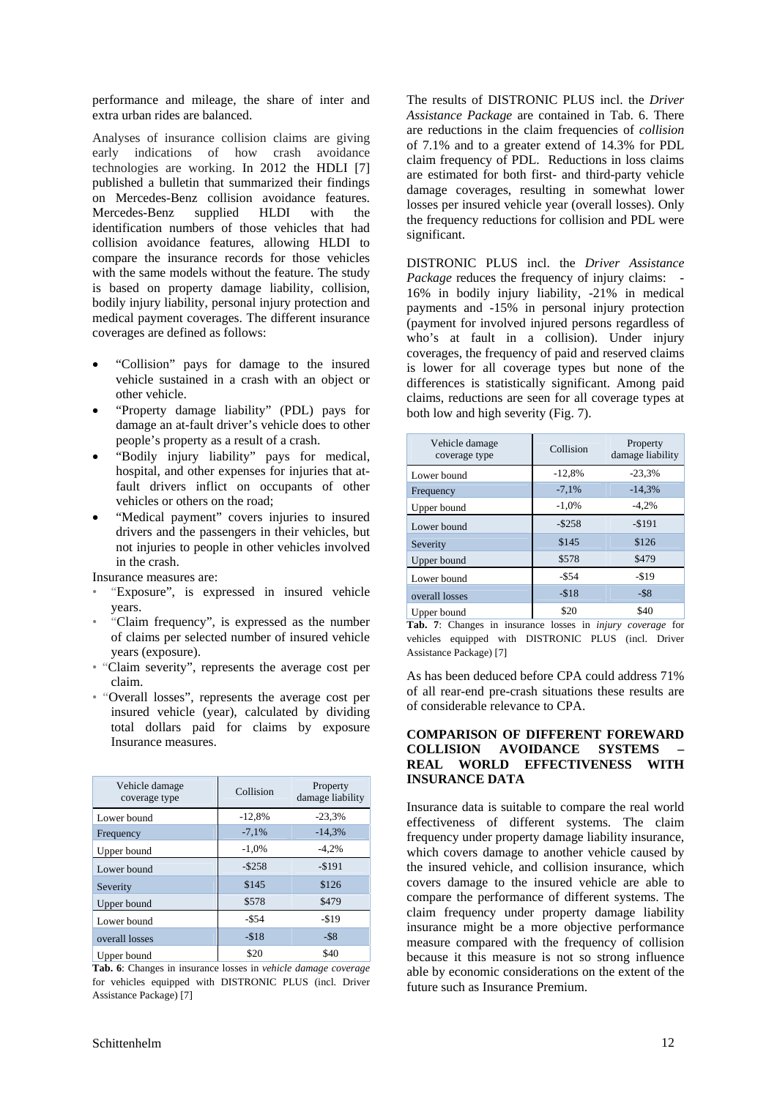performance and mileage, the share of inter and extra urban rides are balanced.

Analyses of insurance collision claims are giving early indications of how crash avoidance technologies are working. In 2012 the HDLI [7] published a bulletin that summarized their findings on Mercedes-Benz collision avoidance features. Mercedes-Benz supplied HLDI with the identification numbers of those vehicles that had collision avoidance features, allowing HLDI to compare the insurance records for those vehicles with the same models without the feature. The study is based on property damage liability, collision, bodily injury liability, personal injury protection and medical payment coverages. The different insurance coverages are defined as follows:

- "Collision" pays for damage to the insured vehicle sustained in a crash with an object or other vehicle.
- "Property damage liability" (PDL) pays for damage an at-fault driver's vehicle does to other people's property as a result of a crash.
- "Bodily injury liability" pays for medical, hospital, and other expenses for injuries that atfault drivers inflict on occupants of other vehicles or others on the road;
- "Medical payment" covers injuries to insured drivers and the passengers in their vehicles, but not injuries to people in other vehicles involved in the crash.

Insurance measures are:

- "Exposure", is expressed in insured vehicle years.
- "Claim frequency", is expressed as the number of claims per selected number of insured vehicle years (exposure).
- "Claim severity", represents the average cost per claim.
- "Overall losses", represents the average cost per insured vehicle (year), calculated by dividing total dollars paid for claims by exposure Insurance measures.

| Vehicle damage<br>coverage type | Collision | Property<br>damage liability |
|---------------------------------|-----------|------------------------------|
| Lower bound                     | $-12,8%$  | $-23.3%$                     |
| Frequency                       | $-7,1%$   | $-14,3%$                     |
| Upper bound                     | $-1,0%$   | $-4,2%$                      |
| Lower bound                     | $-$ \$258 | $-$191$                      |
| Severity                        | \$145     | \$126                        |
| Upper bound                     | \$578     | \$479                        |
| Lower bound                     | $-$ \$54  | $-$19$                       |
| overall losses                  | $- $18$   | $-$ \$8                      |
| Upper bound                     | \$20      | \$40                         |

**Tab. 6**: Changes in insurance losses in *vehicle damage coverage* for vehicles equipped with DISTRONIC PLUS (incl. Driver Assistance Package) [7]

The results of DISTRONIC PLUS incl. the *Driver Assistance Package* are contained in Tab. 6. There are reductions in the claim frequencies of *collision* of 7.1% and to a greater extend of 14.3% for PDL claim frequency of PDL. Reductions in loss claims are estimated for both first- and third-party vehicle damage coverages, resulting in somewhat lower losses per insured vehicle year (overall losses). Only the frequency reductions for collision and PDL were significant.

DISTRONIC PLUS incl. the *Driver Assistance Package* reduces the frequency of injury claims: 16% in bodily injury liability, -21% in medical payments and -15% in personal injury protection (payment for involved injured persons regardless of who's at fault in a collision). Under injury coverages, the frequency of paid and reserved claims is lower for all coverage types but none of the differences is statistically significant. Among paid claims, reductions are seen for all coverage types at both low and high severity (Fig. 7).

| Vehicle damage<br>coverage type | Collision | Property<br>damage liability |
|---------------------------------|-----------|------------------------------|
| Lower bound                     | $-12,8%$  | $-23.3%$                     |
| Frequency                       | $-7,1%$   | $-14,3%$                     |
| Upper bound                     | $-1.0%$   | $-4,2%$                      |
| Lower bound                     | $-$ \$258 | $-5191$                      |
| Severity                        | \$145     | \$126                        |
| Upper bound                     | \$578     | \$479                        |
| Lower bound                     | $-$ \$54  | $-519$                       |
| overall losses                  | $-518$    | $-$ \$8                      |
| Upper bound                     | \$20      | \$40                         |

**Tab. 7**: Changes in insurance losses in *injury coverage* for vehicles equipped with DISTRONIC PLUS (incl. Driver Assistance Package) [7]

As has been deduced before CPA could address 71% of all rear-end pre-crash situations these results are of considerable relevance to CPA.

# **COMPARISON OF DIFFERENT FOREWARD COLLISION AVOIDANCE SYSTEMS – REAL WORLD EFFECTIVENESS WITH INSURANCE DATA**

Insurance data is suitable to compare the real world effectiveness of different systems. The claim frequency under property damage liability insurance, which covers damage to another vehicle caused by the insured vehicle, and collision insurance, which covers damage to the insured vehicle are able to compare the performance of different systems. The claim frequency under property damage liability insurance might be a more objective performance measure compared with the frequency of collision because it this measure is not so strong influence able by economic considerations on the extent of the future such as Insurance Premium.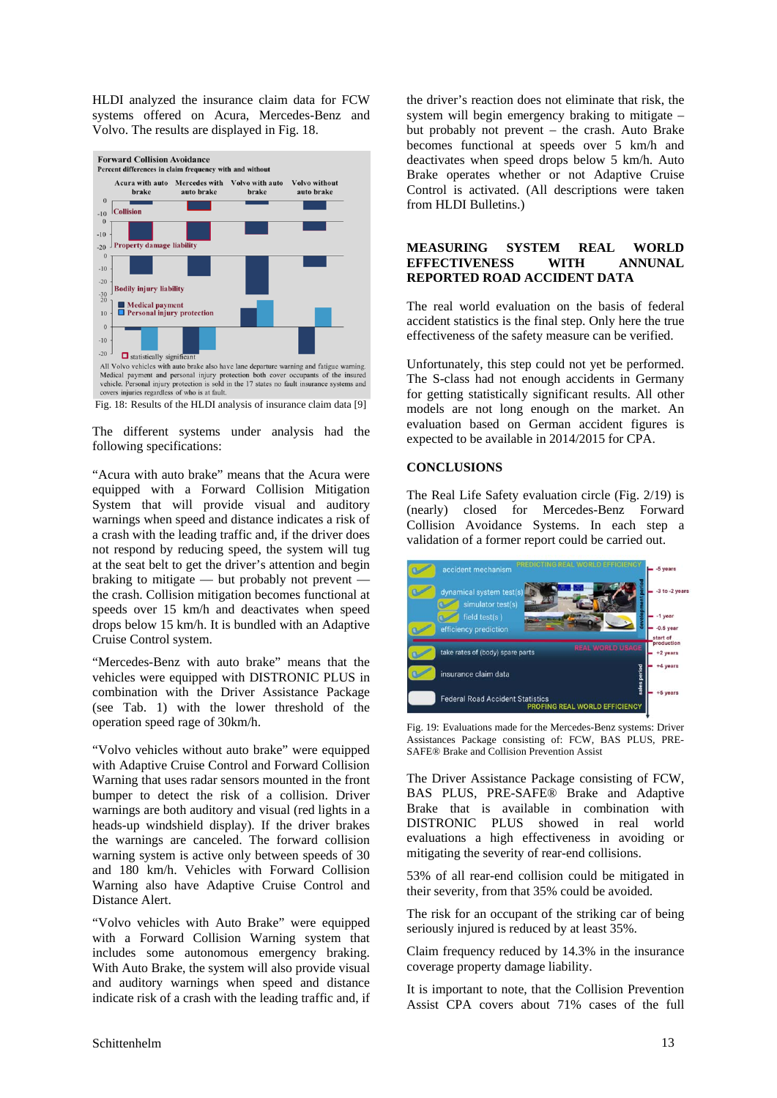HLDI analyzed the insurance claim data for FCW systems offered on Acura, Mercedes-Benz and Volvo. The results are displayed in Fig. 18.



Fig. 18: Results of the HLDI analysis of insurance claim data [9]

The different systems under analysis had the following specifications:

"Acura with auto brake" means that the Acura were equipped with a Forward Collision Mitigation System that will provide visual and auditory warnings when speed and distance indicates a risk of a crash with the leading traffic and, if the driver does not respond by reducing speed, the system will tug at the seat belt to get the driver's attention and begin braking to mitigate — but probably not prevent the crash. Collision mitigation becomes functional at speeds over 15 km/h and deactivates when speed drops below 15 km/h. It is bundled with an Adaptive Cruise Control system.

"Mercedes-Benz with auto brake" means that the vehicles were equipped with DISTRONIC PLUS in combination with the Driver Assistance Package (see Tab. 1) with the lower threshold of the operation speed rage of 30km/h.

"Volvo vehicles without auto brake" were equipped with Adaptive Cruise Control and Forward Collision Warning that uses radar sensors mounted in the front bumper to detect the risk of a collision. Driver warnings are both auditory and visual (red lights in a heads-up windshield display). If the driver brakes the warnings are canceled. The forward collision warning system is active only between speeds of 30 and 180 km/h. Vehicles with Forward Collision Warning also have Adaptive Cruise Control and Distance Alert.

"Volvo vehicles with Auto Brake" were equipped with a Forward Collision Warning system that includes some autonomous emergency braking. With Auto Brake, the system will also provide visual and auditory warnings when speed and distance indicate risk of a crash with the leading traffic and, if the driver's reaction does not eliminate that risk, the system will begin emergency braking to mitigate – but probably not prevent – the crash. Auto Brake becomes functional at speeds over 5 km/h and deactivates when speed drops below 5 km/h. Auto Brake operates whether or not Adaptive Cruise Control is activated. (All descriptions were taken from HLDI Bulletins.)

# **MEASURING SYSTEM REAL WORLD EFFECTIVENESS WITH ANNUNAL REPORTED ROAD ACCIDENT DATA**

The real world evaluation on the basis of federal accident statistics is the final step. Only here the true effectiveness of the safety measure can be verified.

Unfortunately, this step could not yet be performed. The S-class had not enough accidents in Germany for getting statistically significant results. All other models are not long enough on the market. An evaluation based on German accident figures is expected to be available in 2014/2015 for CPA.

### **CONCLUSIONS**

The Real Life Safety evaluation circle (Fig. 2/19) is (nearly) closed for Mercedes-Benz Forward Collision Avoidance Systems. In each step a validation of a former report could be carried out.



Fig. 19: Evaluations made for the Mercedes-Benz systems: Driver Assistances Package consisting of: FCW, BAS PLUS, PRE-SAFE® Brake and Collision Prevention Assist

The Driver Assistance Package consisting of FCW, BAS PLUS, PRE-SAFE® Brake and Adaptive Brake that is available in combination with DISTRONIC PLUS showed in real world evaluations a high effectiveness in avoiding or mitigating the severity of rear-end collisions.

53% of all rear-end collision could be mitigated in their severity, from that 35% could be avoided.

The risk for an occupant of the striking car of being seriously injured is reduced by at least 35%.

Claim frequency reduced by 14.3% in the insurance coverage property damage liability.

It is important to note, that the Collision Prevention Assist CPA covers about 71% cases of the full